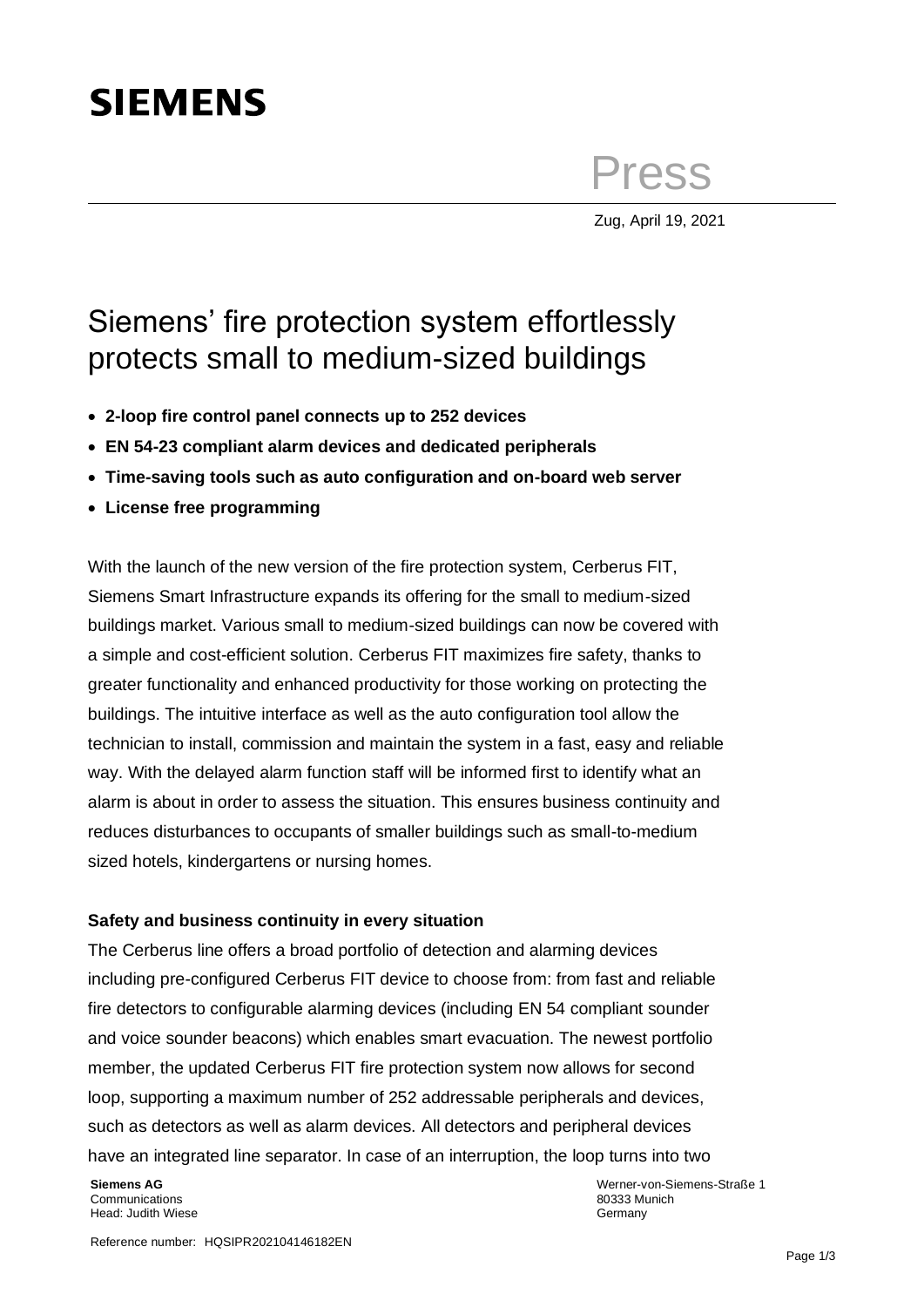# **SIEMENS**

**Press** 

Zug, April 19, 2021

## Siemens' fire protection system effortlessly protects small to medium-sized buildings

- **2-loop fire control panel connects up to 252 devices**
- **EN 54-23 compliant alarm devices and dedicated peripherals**
- **Time-saving tools such as auto configuration and on-board web server**
- **License free programming**

With the launch of the new version of the fire protection system, Cerberus FIT, Siemens Smart Infrastructure expands its offering for the small to medium-sized buildings market. Various small to medium-sized buildings can now be covered with a simple and cost-efficient solution. Cerberus FIT maximizes fire safety, thanks to greater functionality and enhanced productivity for those working on protecting the buildings. The intuitive interface as well as the auto configuration tool allow the technician to install, commission and maintain the system in a fast, easy and reliable way. With the delayed alarm function staff will be informed first to identify what an alarm is about in order to assess the situation. This ensures business continuity and reduces disturbances to occupants of smaller buildings such as small-to-medium sized hotels, kindergartens or nursing homes.

### **Safety and business continuity in every situation**

The Cerberus line offers a broad portfolio of detection and alarming devices including pre-configured Cerberus FIT device to choose from: from fast and reliable fire detectors to configurable alarming devices (including EN 54 compliant sounder and voice sounder beacons) which enables smart evacuation. The newest portfolio member, the updated Cerberus FIT fire protection system now allows for second loop, supporting a maximum number of 252 addressable peripherals and devices, such as detectors as well as alarm devices. All detectors and peripheral devices have an integrated line separator. In case of an interruption, the loop turns into two

**Siemens AG** Communications Head: Judith Wiese Werner-von-Siemens-Straße 1 80333 Munich **Germany**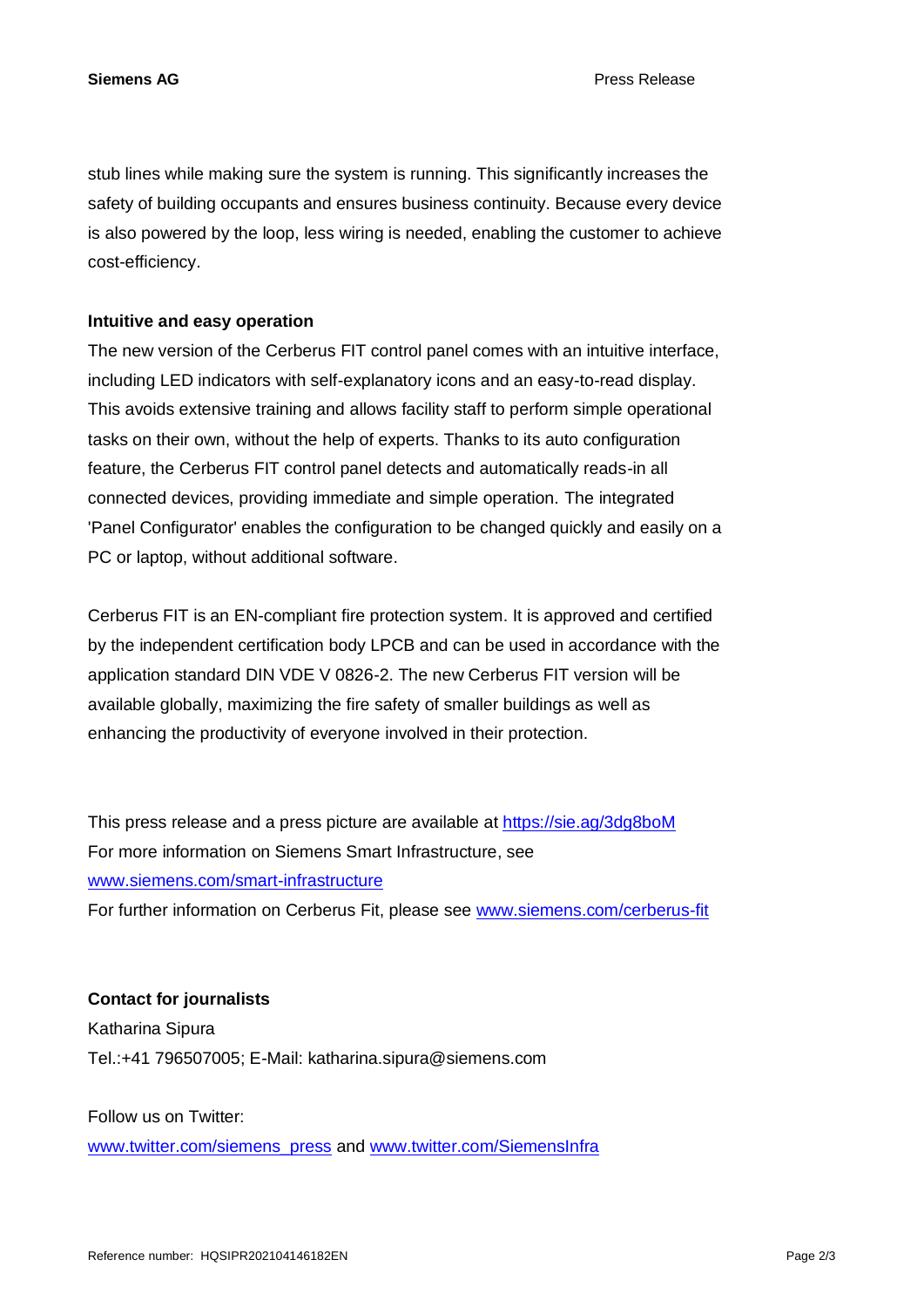**Siemens AG** Press Release

stub lines while making sure the system is running. This significantly increases the safety of building occupants and ensures business continuity. Because every device is also powered by the loop, less wiring is needed, enabling the customer to achieve cost-efficiency.

#### **Intuitive and easy operation**

The new version of the Cerberus FIT control panel comes with an intuitive interface, including LED indicators with self-explanatory icons and an easy-to-read display. This avoids extensive training and allows facility staff to perform simple operational tasks on their own, without the help of experts. Thanks to its auto configuration feature, the Cerberus FIT control panel detects and automatically reads-in all connected devices, providing immediate and simple operation. The integrated 'Panel Configurator' enables the configuration to be changed quickly and easily on a PC or laptop, without additional software.

Cerberus FIT is an EN-compliant fire protection system. It is approved and certified by the independent certification body LPCB and can be used in accordance with the application standard DIN VDE V 0826-2. The new Cerberus FIT version will be available globally, maximizing the fire safety of smaller buildings as well as enhancing the productivity of everyone involved in their protection.

This press release and a press picture are available at [https://sie.ag/3dg8boM](https://eur01.safelinks.protection.outlook.com/?url=https%3A%2F%2Fsie.ag%2F3dg8boM&data=04%7C01%7Ckatharina.sipura%40siemens.com%7C7d4d7e5d7bd54169670508d8ff3cb34c%7C38ae3bcd95794fd4addab42e1495d55a%7C1%7C0%7C637539983471755958%7CUnknown%7CTWFpbGZsb3d8eyJWIjoiMC4wLjAwMDAiLCJQIjoiV2luMzIiLCJBTiI6Ik1haWwiLCJXVCI6Mn0%3D%7C1000&sdata=juNrUgWlphw1L81VuA7UoJRbZ46%2FQUMM7KO%2F8narMfI%3D&reserved=0) For more information on Siemens Smart Infrastructure, see [www.siemens.com/smart-infrastructure](http://www.siemens.com/smart-infrastructure)

For further information on Cerberus Fit, please see [www.siemens.com/cerberus-fit](http://www.siemens.com/cerberus-fit)

### **Contact for journalists**

Katharina Sipura Tel.:+41 796507005; E-Mail: katharina.sipura@siemens.com

Follow us on Twitter:

[www.twitter.com/siemens\\_press](http://www.twitter.com/siemens_press) and [www.twitter.com/SiemensInfra](http://www.twitter.com/SiemensInfra)